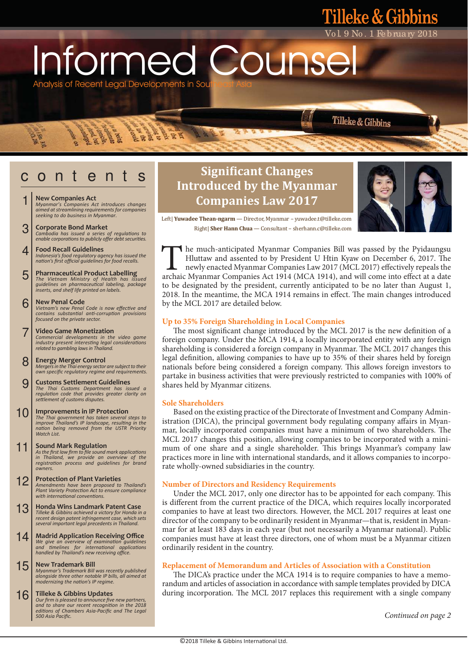Analysis of Recent Legal Developments in Sou Informed Counse

**ERRORE** 

**Redistrict** 

- **New Companies Act** 1
	- *Myanmar's Companies Act introduces changes aimed at streamlining requirements for companies seeking to do business in Myanmar.*
- **Corporate Bond Market** *Cambodia has issued a series of regulaƟons to enable corporaƟons to publicly offer debt securiƟes.* 3
- **Food Recall Guidelines** *Indonesia's food regulatory agency has issued the naƟon's first official guidelines for food recalls.* 4
- **Pharmaceutical Product Labelling** *The Vietnam Ministry of Health has issued guidelines on pharmaceuƟcal labeling, package inserts, and shelf life printed on labels.* 5
- **New Penal Code** *Vietnam's new Penal Code is now effecƟve and contains substanƟal anƟ-corrupƟon provisions focused on the private sector.* 6
- **Video Game Monetization** *Commercial developments in the video game industry present interesƟng legal consideraƟons related to gambling laws in Thailand.* 7
- **Energy Merger Control** *Mergers in the Thai energy sector are subject to their own specific regulatory regime and requirements.* 8
- **Customs Settlement Guidelines** *The Thai Customs Department has issued a regulaƟon code that provides greater clarity on seƩlement of customs disputes.* 9
- **Improvements in IP Protection** *The Thai government has taken several steps to improve Thailand's IP landscape, resulƟng in the naƟon being removed from the USTR Priority Watch List.*  10
- **Sound Mark Regulation**<br>As the first law firm to file sound mark applications<br>in Thailand, we provide an overview of the *registraƟon process and guidelines for brand owners.* 11
- **Protection of Plant Varieties** *Amendments have been proposed to Thailand's Plant Variety ProtecƟon Act to ensure compliance*   $with$  *international conventions.* 12
- **Honda Wins Landmark Patent Case** *Tilleke & Gibbins achieved a victory for Honda in a recent design patent infringement case, which sets several important legal precedents in Thailand.* 13
- **Madrid Application Receiving Office** *We give an overview of examinaƟon guidelines and Ɵmelines for internaƟonal applicaƟons handled by Thailand's new receiving office.* 14
- **New Trademark Bill** *Myanmar's Trademark Bill was recently published alongside three other notable IP bills, all aimed at modernizing the naƟon's IP regime.* 15
- **Tilleke & Gibbins Updates** *Our firm is pleased to announce five new partners, and to share our recent recogniƟon in the 2018 ediƟons of Chambers Asia-Pacific and The Legal 500 Asia Pacific.* 16

# **c** o n t e n t s **Significant Changes Introduced by the Myanmar Companies Law 2017**



Vo l. 9 No . 1 Fe bruary 2018

Tilleke & Gibbins

**Filleke & Gibbins** 

 Left| **Yuwadee Thean-ngarm** — Director, Myanmar – yuwadee.t@tilleke.com Right| **Sher Hann Chua** — Consultant – sherhann.c@tilleke.com

he much-anticipated Myanmar Companies Bill was passed by the Pyidaungsu Hluttaw and assented to by President U Htin Kyaw on December 6, 2017. The newly enacted Myanmar Companies Law 2017 (MCL 2017) effectively repeals the The much-anticipated Myanmar Companies Bill was passed by the Pyidaungsu<br>Hluttaw and assented to by President U Htin Kyaw on December 6, 2017. The<br>newly enacted Myanmar Companies Law 2017 (MCL 2017) effectively repeals the to be designated by the president, currently anticipated to be no later than August 1, 2018. In the meantime, the MCA 1914 remains in effect. The main changes introduced by the MCL 2017 are detailed below.

# **Up to 35% Foreign Shareholding in Local Companies**

 The most significant change introduced by the MCL 2017 is the new definition of a foreign company. Under the MCA 1914, a locally incorporated entity with any foreign shareholding is considered a foreign company in Myanmar. The MCL 2017 changes this legal definition, allowing companies to have up to 35% of their shares held by foreign nationals before being considered a foreign company. This allows foreign investors to partake in business activities that were previously restricted to companies with 100% of shares held by Myanmar citizens.

# **Sole Shareholders**

 Based on the existing practice of the Directorate of Investment and Company Administration (DICA), the principal government body regulating company affairs in Myanmar, locally incorporated companies must have a minimum of two shareholders. The MCL 2017 changes this position, allowing companies to be incorporated with a minimum of one share and a single shareholder. This brings Myanmar's company law practices more in line with international standards, and it allows companies to incorporate wholly-owned subsidiaries in the country.

# **Number of Directors and Residency Requirements**

 Under the MCL 2017, only one director has to be appointed for each company. This is different from the current practice of the DICA, which requires locally incorporated companies to have at least two directors. However, the MCL 2017 requires at least one director of the company to be ordinarily resident in Myanmar—that is, resident in Myanmar for at least 183 days in each year (but not necessarily a Myanmar national). Public companies must have at least three directors, one of whom must be a Myanmar citizen ordinarily resident in the country.

# **Replacement of Memorandum and Articles of Association with a Constitution**

 The DICA's practice under the MCA 1914 is to require companies to have a memorandum and articles of association in accordance with sample templates provided by DICA during incorporation. The MCL 2017 replaces this requirement with a single company